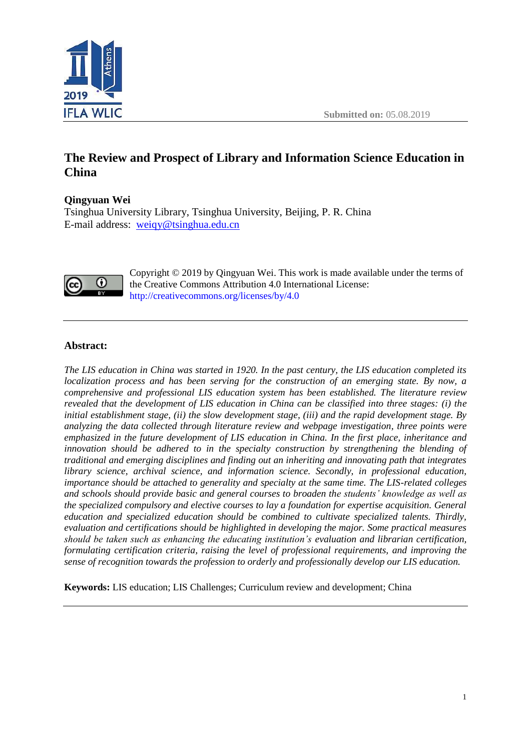

# **The Review and Prospect of Library and Information Science Education in China**

# **Qingyuan Wei**

Tsinghua University Library, Tsinghua University, Beijing, P. R. China E-mail address: [weiqy@tsinghua.edu.cn](mailto:weiqy@tsinghua.edu.cn)



Copyright © 2019 by Qingyuan Wei. This work is made available under the terms of the Creative Commons Attribution 4.0 International License: <http://creativecommons.org/licenses/by/4.0>

# **Abstract:**

*The LIS education in China was started in 1920. In the past century, the LIS education completed its localization process and has been serving for the construction of an emerging state. By now, a comprehensive and professional LIS education system has been established. The literature review revealed that the development of LIS education in China can be classified into three stages: (i) the initial establishment stage, (ii) the slow development stage, (iii) and the rapid development stage. By analyzing the data collected through literature review and webpage investigation, three points were emphasized in the future development of LIS education in China. In the first place, inheritance and*  innovation should be adhered to in the specialty construction by strengthening the blending of *traditional and emerging disciplines and finding out an inheriting and innovating path that integrates library science, archival science, and information science. Secondly, in professional education, importance should be attached to generality and specialty at the same time. The LIS-related colleges and schools should provide basic and general courses to broaden the students' knowledge as well as the specialized compulsory and elective courses to lay a foundation for expertise acquisition. General education and specialized education should be combined to cultivate specialized talents. Thirdly, evaluation and certifications should be highlighted in developing the major. Some practical measures should be taken such as enhancing the educating institution's evaluation and librarian certification, formulating certification criteria, raising the level of professional requirements, and improving the sense of recognition towards the profession to orderly and professionally develop our LIS education.*

**Keywords:** LIS education; LIS Challenges; Curriculum review and development; China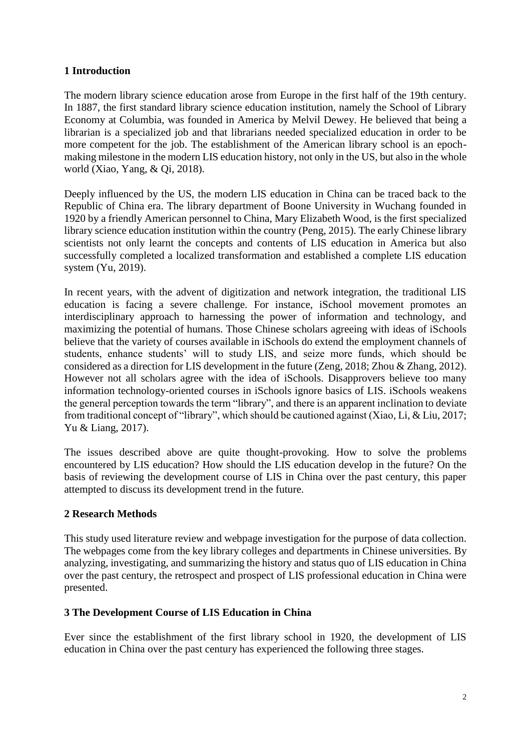# **1 Introduction**

The modern library science education arose from Europe in the first half of the 19th century. In 1887, the first standard library science education institution, namely the School of Library Economy at Columbia, was founded in America by Melvil Dewey. He believed that being a librarian is a specialized job and that librarians needed specialized education in order to be more competent for the job. The establishment of the American library school is an epochmaking milestone in the modern LIS education history, not only in the US, but also in the whole world (Xiao, Yang, & Qi, 2018).

Deeply influenced by the US, the modern LIS education in China can be traced back to the Republic of China era. The library department of Boone University in Wuchang founded in 1920 by a friendly American personnel to China, Mary Elizabeth Wood, is the first specialized library science education institution within the country (Peng, 2015). The early Chinese library scientists not only learnt the concepts and contents of LIS education in America but also successfully completed a localized transformation and established a complete LIS education system (Yu, 2019).

In recent years, with the advent of digitization and network integration, the traditional LIS education is facing a severe challenge. For instance, iSchool movement promotes an interdisciplinary approach to harnessing the power of information and technology, and maximizing the potential of humans. Those Chinese scholars agreeing with ideas of iSchools believe that the variety of courses available in iSchools do extend the employment channels of students, enhance students' will to study LIS, and seize more funds, which should be considered as a direction for LIS development in the future (Zeng, 2018; Zhou & Zhang, 2012). However not all scholars agree with the idea of iSchools. Disapprovers believe too many information technology-oriented courses in iSchools ignore basics of LIS. iSchools weakens the general perception towards the term "library", and there is an apparent inclination to deviate from traditional concept of "library", which should be cautioned against (Xiao, Li, & Liu, 2017; Yu & Liang, 2017).

The issues described above are quite thought-provoking. How to solve the problems encountered by LIS education? How should the LIS education develop in the future? On the basis of reviewing the development course of LIS in China over the past century, this paper attempted to discuss its development trend in the future.

# **2 Research Methods**

This study used literature review and webpage investigation for the purpose of data collection. The webpages come from the key library colleges and departments in Chinese universities. By analyzing, investigating, and summarizing the history and status quo of LIS education in China over the past century, the retrospect and prospect of LIS professional education in China were presented.

# **3 The Development Course of LIS Education in China**

Ever since the establishment of the first library school in 1920, the development of LIS education in China over the past century has experienced the following three stages.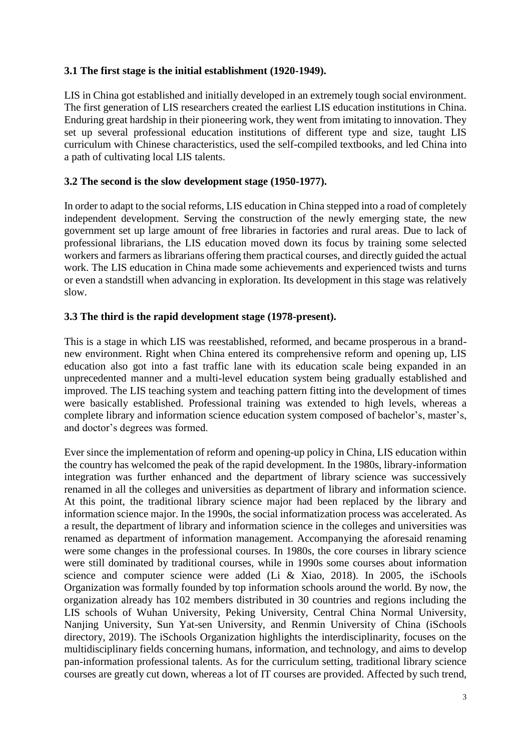#### **3.1 The first stage is the initial establishment (1920-1949).**

LIS in China got established and initially developed in an extremely tough social environment. The first generation of LIS researchers created the earliest LIS education institutions in China. Enduring great hardship in their pioneering work, they went from imitating to innovation. They set up several professional education institutions of different type and size, taught LIS curriculum with Chinese characteristics, used the self-compiled textbooks, and led China into a path of cultivating local LIS talents.

#### **3.2 The second is the slow development stage (1950-1977).**

In order to adapt to the social reforms, LIS education in China stepped into a road of completely independent development. Serving the construction of the newly emerging state, the new government set up large amount of free libraries in factories and rural areas. Due to lack of professional librarians, the LIS education moved down its focus by training some selected workers and farmers as librarians offering them practical courses, and directly guided the actual work. The LIS education in China made some achievements and experienced twists and turns or even a standstill when advancing in exploration. Its development in this stage was relatively slow.

#### **3.3 The third is the rapid development stage (1978-present).**

This is a stage in which LIS was reestablished, reformed, and became prosperous in a brandnew environment. Right when China entered its comprehensive reform and opening up, LIS education also got into a fast traffic lane with its education scale being expanded in an unprecedented manner and a multi-level education system being gradually established and improved. The LIS teaching system and teaching pattern fitting into the development of times were basically established. Professional training was extended to high levels, whereas a complete library and information science education system composed of bachelor's, master's, and doctor's degrees was formed.

Ever since the implementation of reform and opening-up policy in China, LIS education within the country has welcomed the peak of the rapid development. In the 1980s, library-information integration was further enhanced and the department of library science was successively renamed in all the colleges and universities as department of library and information science. At this point, the traditional library science major had been replaced by the library and information science major. In the 1990s, the social informatization process was accelerated. As a result, the department of library and information science in the colleges and universities was renamed as department of information management. Accompanying the aforesaid renaming were some changes in the professional courses. In 1980s, the core courses in library science were still dominated by traditional courses, while in 1990s some courses about information science and computer science were added (Li & Xiao, 2018). In 2005, the iSchools Organization was formally founded by top information schools around the world. By now, the organization already has 102 members distributed in 30 countries and regions including the LIS schools of Wuhan University, Peking University, Central China Normal University, Nanjing University, Sun Yat-sen University, and Renmin University of China (iSchools directory, 2019). The iSchools Organization highlights the interdisciplinarity, focuses on the multidisciplinary fields concerning humans, information, and technology, and aims to develop pan-information professional talents. As for the curriculum setting, traditional library science courses are greatly cut down, whereas a lot of IT courses are provided. Affected by such trend,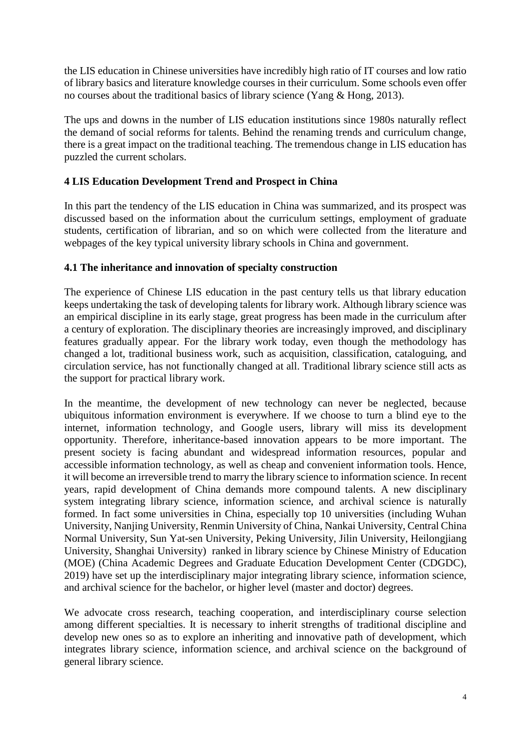the LIS education in Chinese universities have incredibly high ratio of IT courses and low ratio of library basics and literature knowledge courses in their curriculum. Some schools even offer no courses about the traditional basics of library science (Yang & Hong, 2013).

The ups and downs in the number of LIS education institutions since 1980s naturally reflect the demand of social reforms for talents. Behind the renaming trends and curriculum change, there is a great impact on the traditional teaching. The tremendous change in LIS education has puzzled the current scholars.

# **4 LIS Education Development Trend and Prospect in China**

In this part the tendency of the LIS education in China was summarized, and its prospect was discussed based on the information about the curriculum settings, employment of graduate students, certification of librarian, and so on which were collected from the literature and webpages of the key typical university library schools in China and government.

# **4.1 The inheritance and innovation of specialty construction**

The experience of Chinese LIS education in the past century tells us that library education keeps undertaking the task of developing talents for library work. Although library science was an empirical discipline in its early stage, great progress has been made in the curriculum after a century of exploration. The disciplinary theories are increasingly improved, and disciplinary features gradually appear. For the library work today, even though the methodology has changed a lot, traditional business work, such as acquisition, classification, cataloguing, and circulation service, has not functionally changed at all. Traditional library science still acts as the support for practical library work.

In the meantime, the development of new technology can never be neglected, because ubiquitous information environment is everywhere. If we choose to turn a blind eye to the internet, information technology, and Google users, library will miss its development opportunity. Therefore, inheritance-based innovation appears to be more important. The present society is facing abundant and widespread information resources, popular and accessible information technology, as well as cheap and convenient information tools. Hence, it will become an irreversible trend to marry the library science to information science. In recent years, rapid development of China demands more compound talents. A new disciplinary system integrating library science, information science, and archival science is naturally formed. In fact some universities in China, especially top 10 universities (including Wuhan University, Nanjing University, Renmin University of China, Nankai University, Central China Normal University, Sun Yat-sen University, Peking University, Jilin University, Heilongjiang University, Shanghai University) ranked in library science by Chinese Ministry of Education (MOE) (China Academic Degrees and Graduate Education Development Center (CDGDC), 2019) have set up the interdisciplinary major integrating library science, information science, and archival science for the bachelor, or higher level (master and doctor) degrees.

We advocate cross research, teaching cooperation, and interdisciplinary course selection among different specialties. It is necessary to inherit strengths of traditional discipline and develop new ones so as to explore an inheriting and innovative path of development, which integrates library science, information science, and archival science on the background of general library science.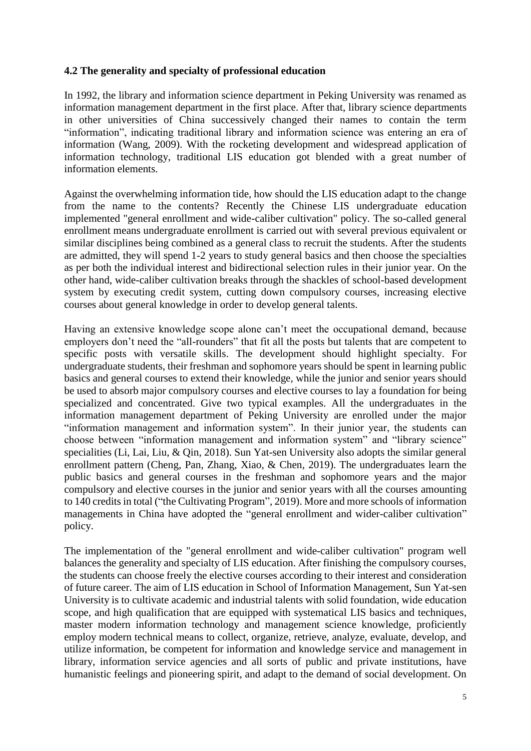#### **4.2 The generality and specialty of professional education**

In 1992, the library and information science department in Peking University was renamed as information management department in the first place. After that, library science departments in other universities of China successively changed their names to contain the term "information", indicating traditional library and information science was entering an era of information (Wang, 2009). With the rocketing development and widespread application of information technology, traditional LIS education got blended with a great number of information elements.

Against the overwhelming information tide, how should the LIS education adapt to the change from the name to the contents? Recently the Chinese LIS undergraduate education implemented "general enrollment and wide-caliber cultivation" policy. The so-called general enrollment means undergraduate enrollment is carried out with several previous equivalent or similar disciplines being combined as a general class to recruit the students. After the students are admitted, they will spend 1-2 years to study general basics and then choose the specialties as per both the individual interest and bidirectional selection rules in their junior year. On the other hand, wide-caliber cultivation breaks through the shackles of school-based development system by executing credit system, cutting down compulsory courses, increasing elective courses about general knowledge in order to develop general talents.

Having an extensive knowledge scope alone can't meet the occupational demand, because employers don't need the "all-rounders" that fit all the posts but talents that are competent to specific posts with versatile skills. The development should highlight specialty. For undergraduate students, their freshman and sophomore years should be spent in learning public basics and general courses to extend their knowledge, while the junior and senior years should be used to absorb major compulsory courses and elective courses to lay a foundation for being specialized and concentrated. Give two typical examples. All the undergraduates in the information management department of Peking University are enrolled under the major "information management and information system". In their junior year, the students can choose between "information management and information system" and "library science" specialities (Li, Lai, Liu, & Qin, 2018). Sun Yat-sen University also adopts the similar general enrollment pattern (Cheng, Pan, Zhang, Xiao, & Chen, 2019). The undergraduates learn the public basics and general courses in the freshman and sophomore years and the major compulsory and elective courses in the junior and senior years with all the courses amounting to 140 credits in total ("the Cultivating Program", 2019). More and more schools of information managements in China have adopted the "general enrollment and wider-caliber cultivation" policy.

The implementation of the "general enrollment and wide-caliber cultivation" program well balances the generality and specialty of LIS education. After finishing the compulsory courses, the students can choose freely the elective courses according to their interest and consideration of future career. The aim of LIS education in School of Information Management, Sun Yat-sen University is to cultivate academic and industrial talents with solid foundation, wide education scope, and high qualification that are equipped with systematical LIS basics and techniques, master modern information technology and management science knowledge, proficiently employ modern technical means to collect, organize, retrieve, analyze, evaluate, develop, and utilize information, be competent for information and knowledge service and management in library, information service agencies and all sorts of public and private institutions, have humanistic feelings and pioneering spirit, and adapt to the demand of social development. On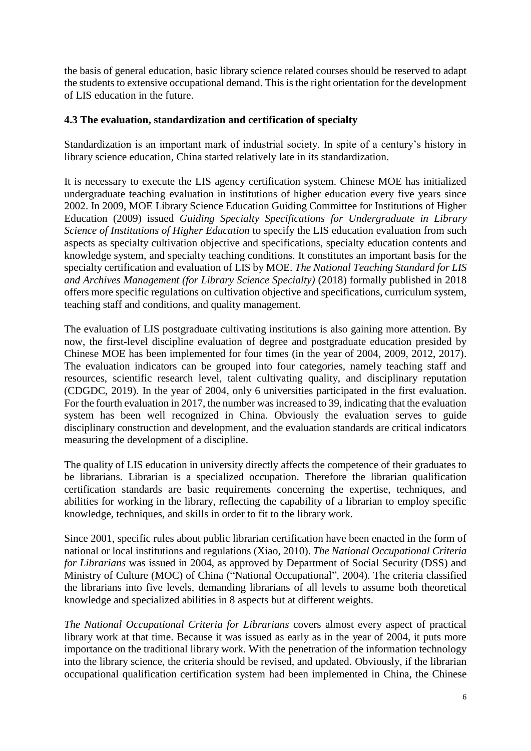the basis of general education, basic library science related courses should be reserved to adapt the students to extensive occupational demand. This is the right orientation for the development of LIS education in the future.

#### **4.3 The evaluation, standardization and certification of specialty**

Standardization is an important mark of industrial society. In spite of a century's history in library science education, China started relatively late in its standardization.

It is necessary to execute the LIS agency certification system. Chinese MOE has initialized undergraduate teaching evaluation in institutions of higher education every five years since 2002. In 2009, MOE Library Science Education Guiding Committee for Institutions of Higher Education (2009) issued *Guiding Specialty Specifications for Undergraduate in Library Science of Institutions of Higher Education* to specify the LIS education evaluation from such aspects as specialty cultivation objective and specifications, specialty education contents and knowledge system, and specialty teaching conditions. It constitutes an important basis for the specialty certification and evaluation of LIS by MOE. *The National Teaching Standard for LIS and Archives Management (for Library Science Specialty)* (2018) formally published in 2018 offers more specific regulations on cultivation objective and specifications, curriculum system, teaching staff and conditions, and quality management.

The evaluation of LIS postgraduate cultivating institutions is also gaining more attention. By now, the first-level discipline evaluation of degree and postgraduate education presided by Chinese MOE has been implemented for four times (in the year of 2004, 2009, 2012, 2017). The evaluation indicators can be grouped into four categories, namely teaching staff and resources, scientific research level, talent cultivating quality, and disciplinary reputation (CDGDC, 2019). In the year of 2004, only 6 universities participated in the first evaluation. For the fourth evaluation in 2017, the number was increased to 39, indicating that the evaluation system has been well recognized in China. Obviously the evaluation serves to guide disciplinary construction and development, and the evaluation standards are critical indicators measuring the development of a discipline.

The quality of LIS education in university directly affects the competence of their graduates to be librarians. Librarian is a specialized occupation. Therefore the librarian qualification certification standards are basic requirements concerning the expertise, techniques, and abilities for working in the library, reflecting the capability of a librarian to employ specific knowledge, techniques, and skills in order to fit to the library work.

Since 2001, specific rules about public librarian certification have been enacted in the form of national or local institutions and regulations (Xiao, 2010). *The National Occupational Criteria for Librarians* was issued in 2004, as approved by Department of Social Security (DSS) and Ministry of Culture (MOC) of China ("National Occupational", 2004). The criteria classified the librarians into five levels, demanding librarians of all levels to assume both theoretical knowledge and specialized abilities in 8 aspects but at different weights.

*The National Occupational Criteria for Librarians* covers almost every aspect of practical library work at that time. Because it was issued as early as in the year of 2004, it puts more importance on the traditional library work. With the penetration of the information technology into the library science, the criteria should be revised, and updated. Obviously, if the librarian occupational qualification certification system had been implemented in China, the Chinese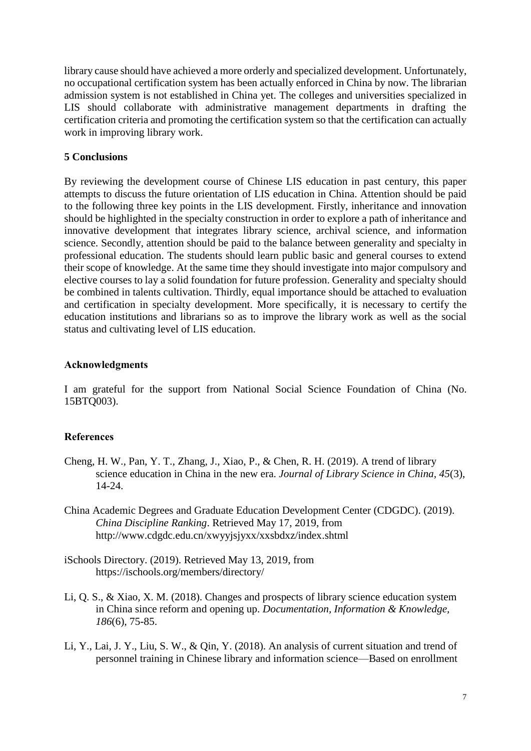library cause should have achieved a more orderly and specialized development. Unfortunately, no occupational certification system has been actually enforced in China by now. The librarian admission system is not established in China yet. The colleges and universities specialized in LIS should collaborate with administrative management departments in drafting the certification criteria and promoting the certification system so that the certification can actually work in improving library work.

#### **5 Conclusions**

By reviewing the development course of Chinese LIS education in past century, this paper attempts to discuss the future orientation of LIS education in China. Attention should be paid to the following three key points in the LIS development. Firstly, inheritance and innovation should be highlighted in the specialty construction in order to explore a path of inheritance and innovative development that integrates library science, archival science, and information science. Secondly, attention should be paid to the balance between generality and specialty in professional education. The students should learn public basic and general courses to extend their scope of knowledge. At the same time they should investigate into major compulsory and elective courses to lay a solid foundation for future profession. Generality and specialty should be combined in talents cultivation. Thirdly, equal importance should be attached to evaluation and certification in specialty development. More specifically, it is necessary to certify the education institutions and librarians so as to improve the library work as well as the social status and cultivating level of LIS education.

#### **Acknowledgments**

I am grateful for the support from National Social Science Foundation of China (No. 15BTQ003).

# **References**

- Cheng, H. W., Pan, Y. T., Zhang, J., Xiao, P., & Chen, R. H. (2019). A trend of library science education in China in the new era. *Journal of Library Science in China, 45*(3), 14-24.
- China Academic Degrees and Graduate Education Development Center (CDGDC). (2019). *China Discipline Ranking*. Retrieved May 17, 2019, from <http://www.cdgdc.edu.cn/xwyyjsjyxx/xxsbdxz/index.shtml>
- iSchools Directory. (2019). Retrieved May 13, 2019, from <https://ischools.org/members/directory/>
- Li, Q. S., & Xiao, X. M. (2018). Changes and prospects of library science education system in China since reform and opening up. *Documentation, Information & Knowledge, 186*(6), 75-85.
- Li, Y., Lai, J. Y., Liu, S. W., & Qin, Y. (2018). An analysis of current situation and trend of personnel training in Chinese library and information science—Based on enrollment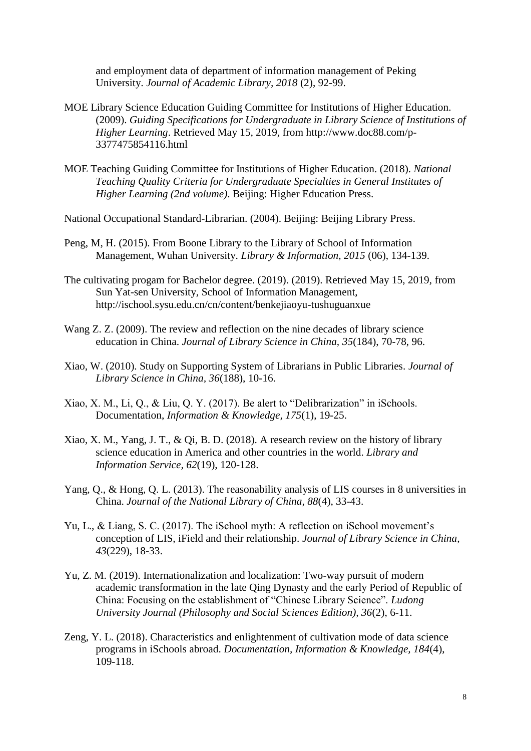and employment data of department of information management of Peking University. *Journal of Academic Library, 2018* (2), 92-99.

- MOE Library Science Education Guiding Committee for Institutions of Higher Education. (2009). *Guiding Specifications for Undergraduate in Library Science of Institutions of Higher Learning*. Retrieved May 15, 2019, from [http://www.doc88.com/p-](http://www.doc88.com/p-3377475854116.html)[3377475854116.html](http://www.doc88.com/p-3377475854116.html)
- MOE Teaching Guiding Committee for Institutions of Higher Education. (2018). *National Teaching Quality Criteria for Undergraduate Specialties in General Institutes of Higher Learning (2nd volume)*. Beijing: Higher Education Press.

National Occupational Standard-Librarian. (2004). Beijing: Beijing Library Press.

- Peng, M, H. (2015). From Boone Library to the Library of School of Information Management, Wuhan University. *Library & Information, 2015* (06), 134-139.
- The cultivating progam for Bachelor degree. (2019). (2019). Retrieved May 15, 2019, from Sun Yat-sen University, School of Information Management, <http://ischool.sysu.edu.cn/cn/content/benkejiaoyu-tushuguanxue>
- Wang Z. Z. (2009). The review and reflection on the nine decades of library science education in China. *Journal of Library Science in China, 35*(184), 70-78, 96.
- Xiao, W. (2010). Study on Supporting System of Librarians in Public Libraries. *Journal of Library Science in China, 36*(188), 10-16.
- Xiao, X. M., Li, Q., & Liu, Q. Y. (2017). Be alert to "Delibrarization" in iSchools. Documentation, *Information & Knowledge, 175*(1), 19-25.
- Xiao, X. M., Yang, J. T., & Qi, B. D. (2018). A research review on the history of library science education in America and other countries in the world. *Library and Information Service, 62*(19), 120-128.
- Yang, Q., & Hong, Q. L. (2013). The reasonability analysis of LIS courses in 8 universities in China. *Journal of the National Library of China, 88*(4), 33-43.
- Yu, L., & Liang, S. C. (2017). The iSchool myth: A reflection on iSchool movement's conception of LIS, iField and their relationship. *Journal of Library Science in China, 43*(229), 18-33.
- Yu, Z. M. (2019). Internationalization and localization: Two-way pursuit of modern academic transformation in the late Qing Dynasty and the early Period of Republic of China: Focusing on the establishment of "Chinese Library Science". *Ludong University Journal (Philosophy and Social Sciences Edition), 36*(2), 6-11.
- Zeng, Y. L. (2018). Characteristics and enlightenment of cultivation mode of data science programs in iSchools abroad. *Documentation, Information & Knowledge, 184*(4), 109-118.